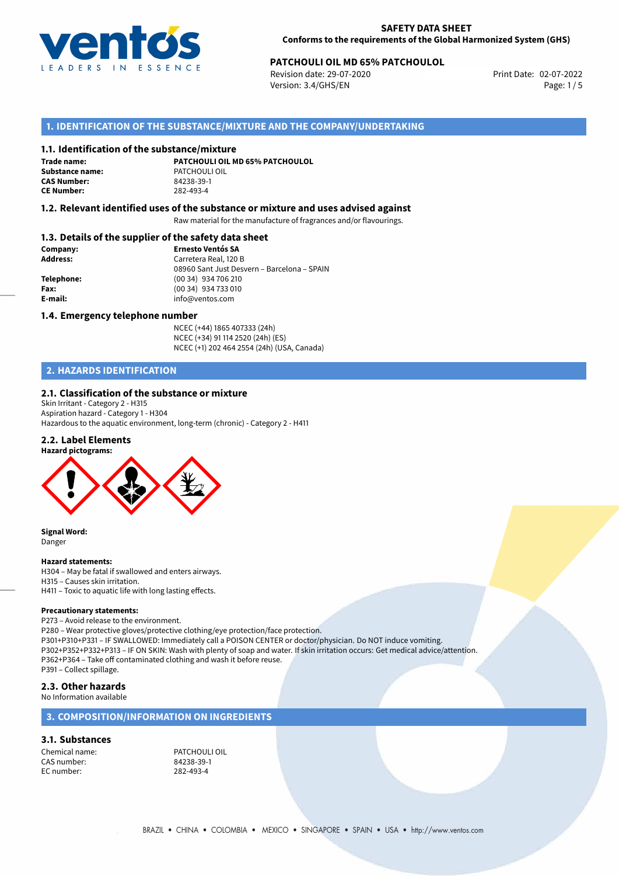

# **PATCHOULI OIL MD 65% PATCHOULOL**<br>
Revision date: 29-07-2020<br>
Print Date: 02-07-2022

Revision date: 29-07-2020 Version: 3.4/GHS/EN Page: 1 / 5

# **1. IDENTIFICATION OF THE SUBSTANCE/MIXTURE AND THE COMPANY/UNDERTAKING**

#### **1.1. Identification of the substance/mixture**

**Trade name: Substance name:** PATCHOULI OIL **CAS Number: CE Number:** 282-493-4

**PATCHOULI OIL MD 65% PATCHOULOL**

## **1.2. Relevant identified uses of the substance or mixture and uses advised against**

Raw material for the manufacture of fragrances and/or flavourings.

# **1.3. Details of the supplier of the safety data sheet**

| Company:        | <b>Ernesto Ventós SA</b>                    |  |
|-----------------|---------------------------------------------|--|
| <b>Address:</b> | Carretera Real, 120 B                       |  |
|                 | 08960 Sant Just Desvern - Barcelona - SPAIN |  |
| Telephone:      | (00 34) 934 706 210                         |  |
| Fax:            | (00 34) 934 733 010                         |  |
| E-mail:         | info@ventos.com                             |  |
|                 |                                             |  |

#### **1.4. Emergency telephone number**

NCEC (+44) 1865 407333 (24h) NCEC (+34) 91 114 2520 (24h) (ES) NCEC (+1) 202 464 2554 (24h) (USA, Canada)

# **2. HAZARDS IDENTIFICATION**

#### **2.1. Classification of the substance or mixture**

Skin Irritant - Category 2 - H315 Aspiration hazard - Category 1 - H304 Hazardous to the aquatic environment, long-term (chronic) - Category 2 - H411

## **2.2. Label Elements**



**Signal Word:** Danger

#### **Hazard statements:**

H304 – May be fatal if swallowed and enters airways. H315 – Causes skin irritation. H411 – Toxic to aquatic life with long lasting effects.

#### **Precautionary statements:**

P273 – Avoid release to the environment. P280 – Wear protective gloves/protective clothing/eye protection/face protection. P301+P310+P331 – IF SWALLOWED: Immediately call a POISON CENTER or doctor/physician. Do NOT induce vomiting. P302+P352+P332+P313 – IF ON SKIN: Wash with plenty of soap and water. If skin irritation occurs: Get medical advice/attention. P362+P364 – Take off contaminated clothing and wash it before reuse. P391 – Collect spillage.

#### **2.3. Other hazards**

No Information available

# **3. COMPOSITION/INFORMATION ON INGREDIENTS**

#### **3.1. Substances**

CAS number: 84238-39-1<br>EC number: 282-493-4 EC number:

Chemical name: PATCHOULI OIL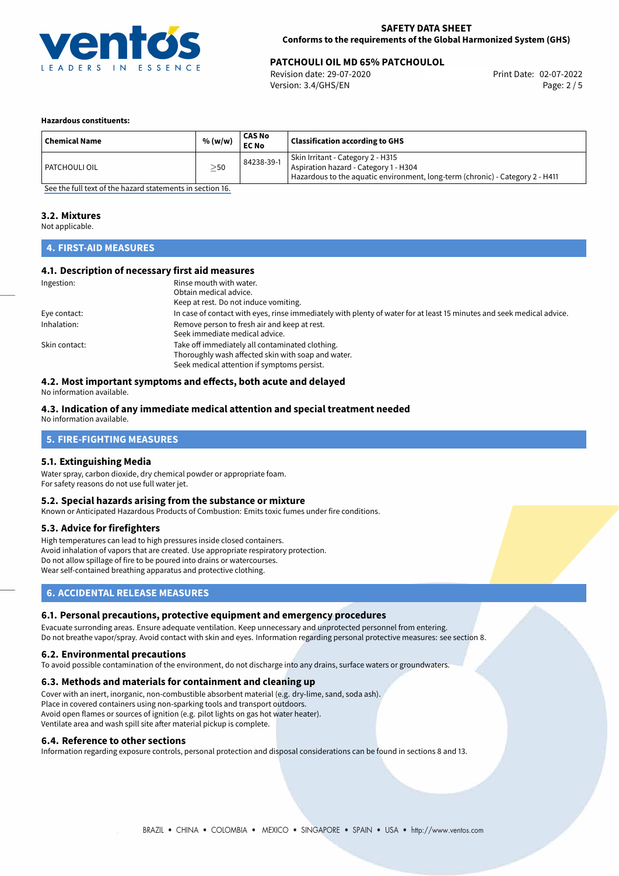

# **PATCHOULI OIL MD 65% PATCHOULOL**<br> **Revision date: 29-07-2020** Print Date: 02-07-2022

Revision date: 29-07-2020 Version: 3.4/GHS/EN Page: 2 / 5

#### **Hazardous constituents:**

| <b>Chemical Name</b> | % (w/w) | <b>CAS No</b><br><b>EC No</b> | <b>Classification according to GHS</b>                                                                                                                      |
|----------------------|---------|-------------------------------|-------------------------------------------------------------------------------------------------------------------------------------------------------------|
| l PATCHOULI OIL      | >50     | 84238-39-1                    | Skin Irritant - Category 2 - H315<br>Aspiration hazard - Category 1 - H304<br>Hazardous to the aquatic environment, long-term (chronic) - Category 2 - H411 |

[See the full text of the hazard statements in section 16.](#page-4-0)

#### **3.2. Mixtures**

Not applicable.

# **4. FIRST-AID MEASURES**

## **4.1. Description of necessary first aid measures**

| Ingestion:    | Rinse mouth with water.                                                                                               |
|---------------|-----------------------------------------------------------------------------------------------------------------------|
|               | Obtain medical advice.                                                                                                |
|               | Keep at rest. Do not induce vomiting.                                                                                 |
| Eye contact:  | In case of contact with eyes, rinse immediately with plenty of water for at least 15 minutes and seek medical advice. |
| Inhalation:   | Remove person to fresh air and keep at rest.                                                                          |
|               | Seek immediate medical advice.                                                                                        |
| Skin contact: | Take off immediately all contaminated clothing.                                                                       |
|               | Thoroughly wash affected skin with soap and water.                                                                    |
|               | Seek medical attention if symptoms persist.                                                                           |

# **4.2. Most important symptoms and effects, both acute and delayed**

No information available.

## **4.3. Indication of any immediate medical attention and special treatment needed**

No information available.

# **5. FIRE-FIGHTING MEASURES**

## **5.1. Extinguishing Media**

Water spray, carbon dioxide, dry chemical powder or appropriate foam. For safety reasons do not use full water jet.

### **5.2. Special hazards arising from the substance or mixture**

Known or Anticipated Hazardous Products of Combustion: Emits toxic fumes under fire conditions.

#### **5.3. Advice for firefighters**

High temperatures can lead to high pressures inside closed containers. Avoid inhalation of vapors that are created. Use appropriate respiratory protection. Do not allow spillage of fire to be poured into drains or watercourses. Wear self-contained breathing apparatus and protective clothing.

# **6. ACCIDENTAL RELEASE MEASURES**

#### **6.1. Personal precautions, protective equipment and emergency procedures**

Evacuate surronding areas. Ensure adequate ventilation. Keep unnecessary and unprotected personnel from entering. Do not breathe vapor/spray. Avoid contact with skin and eyes. Information regarding personal protective measures: see section 8.

#### **6.2. Environmental precautions**

To avoid possible contamination of the environment, do not discharge into any drains, surface waters or groundwaters.

#### **6.3. Methods and materials for containment and cleaning up**

Cover with an inert, inorganic, non-combustible absorbent material (e.g. dry-lime, sand, soda ash). Place in covered containers using non-sparking tools and transport outdoors. Avoid open flames or sources of ignition (e.g. pilot lights on gas hot water heater). Ventilate area and wash spill site after material pickup is complete.

#### **6.4. Reference to other sections**

Information regarding exposure controls, personal protection and disposal considerations can be found in sections 8 and 13.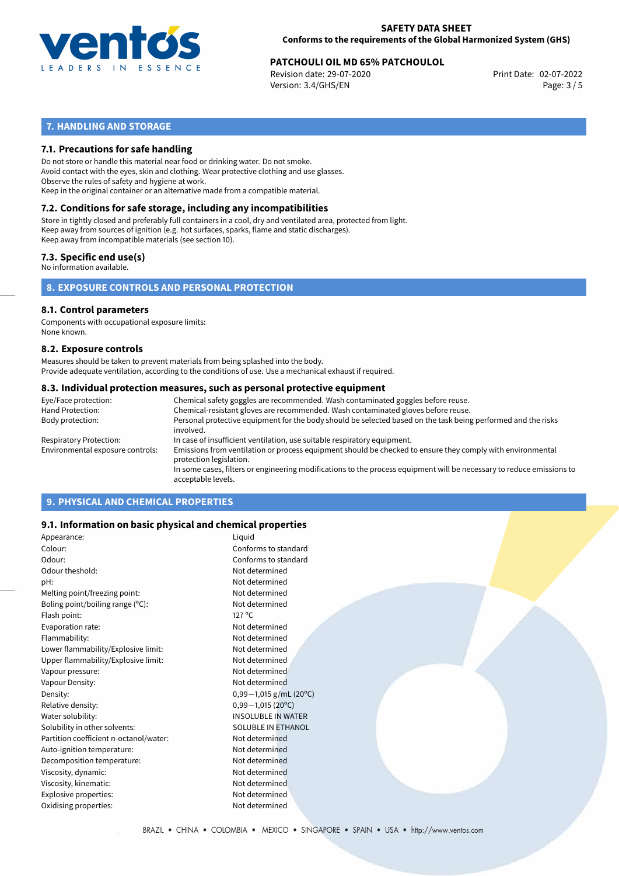

# **PATCHOULI OIL MD 65% PATCHOULOL**<br>
Revision date: 29-07-2020<br>
Print Date: 02-07-2022

Revision date: 29-07-2020 Version: 3.4/GHS/EN Page: 3 / 5

# **7. HANDLING AND STORAGE**

# **7.1. Precautions for safe handling**

Do not store or handle this material near food or drinking water. Do not smoke. Avoid contact with the eyes, skin and clothing. Wear protective clothing and use glasses. Observe the rules of safety and hygiene at work. Keep in the original container or an alternative made from a compatible material.

# **7.2. Conditions for safe storage, including any incompatibilities**

Store in tightly closed and preferably full containers in a cool, dry and ventilated area, protected from light. Keep away from sources of ignition (e.g. hot surfaces, sparks, flame and static discharges). Keep away from incompatible materials (see section 10).

## **7.3. Specific end use(s)**

No information available.

**8. EXPOSURE CONTROLS AND PERSONAL PROTECTION**

#### **8.1. Control parameters**

Components with occupational exposure limits: None known.

#### **8.2. Exposure controls**

Measures should be taken to prevent materials from being splashed into the body. Provide adequate ventilation, according to the conditions of use. Use a mechanical exhaust if required.

#### **8.3. Individual protection measures, such as personal protective equipment**

| Eye/Face protection:             | Chemical safety goggles are recommended. Wash contaminated goggles before reuse.                                                            |
|----------------------------------|---------------------------------------------------------------------------------------------------------------------------------------------|
| Hand Protection:                 | Chemical-resistant gloves are recommended. Wash contaminated gloves before reuse.                                                           |
| Body protection:                 | Personal protective equipment for the body should be selected based on the task being performed and the risks<br>involved.                  |
| Respiratory Protection:          | In case of insufficient ventilation, use suitable respiratory equipment.                                                                    |
| Environmental exposure controls: | Emissions from ventilation or process equipment should be checked to ensure they comply with environmental<br>protection legislation.       |
|                                  | In some cases, filters or engineering modifications to the process equipment will be necessary to reduce emissions to<br>acceptable levels. |
|                                  |                                                                                                                                             |

# **9. PHYSICAL AND CHEMICAL PROPERTIES**

## **9.1. Information on basic physical and chemical properties**

| Appearance:                            | Liquid                    |
|----------------------------------------|---------------------------|
| Colour:                                | Conforms to standard      |
| Odour:                                 | Conforms to standard      |
| Odour theshold:                        | Not determined            |
| pH:                                    | Not determined            |
| Melting point/freezing point:          | Not determined            |
| Boling point/boiling range (°C):       | Not determined            |
| Flash point:                           | $127^{\circ}$ C           |
| Evaporation rate:                      | Not determined            |
| Flammability:                          | Not determined            |
| Lower flammability/Explosive limit:    | Not determined            |
| Upper flammability/Explosive limit:    | Not determined            |
| Vapour pressure:                       | Not determined            |
| Vapour Density:                        | Not determined            |
| Density:                               | $0,99-1,015$ g/mL (20°C)  |
| Relative density:                      | $0,99-1,015(20°C)$        |
| Water solubility:                      | <b>INSOLUBLE IN WATER</b> |
| Solubility in other solvents:          | <b>SOLUBLE IN ETHANOL</b> |
| Partition coefficient n-octanol/water: | Not determined            |
| Auto-ignition temperature:             | Not determined            |
| Decomposition temperature:             | Not determined            |
| Viscosity, dynamic:                    | Not determined            |
| Viscosity, kinematic:                  | Not determined            |
| Explosive properties:                  | Not determined            |
| Oxidising properties:                  | Not determined            |
|                                        |                           |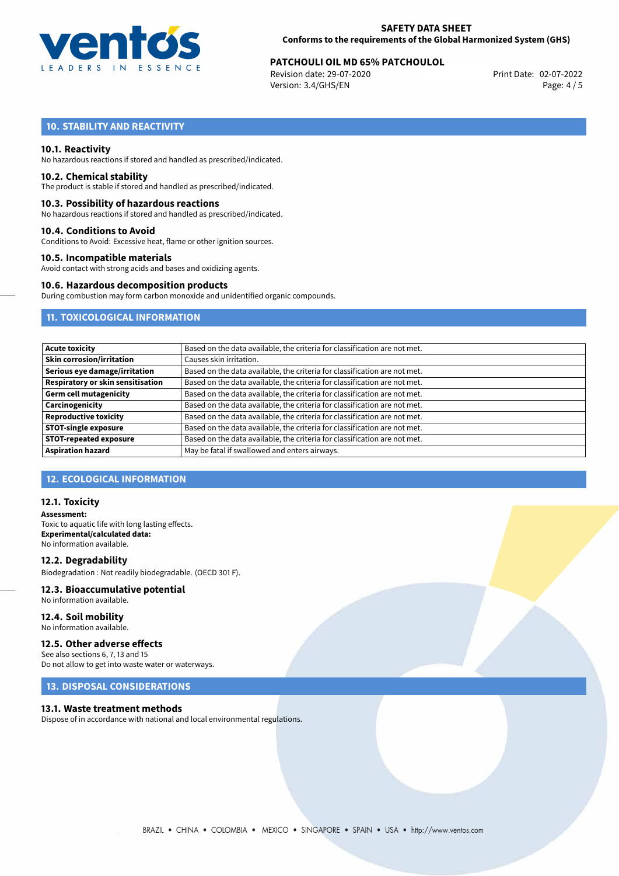

# **PATCHOULI OIL MD 65% PATCHOULOL**<br>
Revision date: 29-07-2020<br>
Print Date: 02-07-2022

Revision date: 29-07-2020 Version: 3.4/GHS/EN Page: 4 / 5

# **10. STABILITY AND REACTIVITY**

#### **10.1. Reactivity**

No hazardous reactions if stored and handled as prescribed/indicated.

#### **10.2. Chemical stability**

The product is stable if stored and handled as prescribed/indicated.

#### **10.3. Possibility of hazardous reactions**

No hazardous reactions if stored and handled as prescribed/indicated.

#### **10.4. Conditions to Avoid**

Conditions to Avoid: Excessive heat, flame or other ignition sources.

### **10.5. Incompatible materials**

Avoid contact with strong acids and bases and oxidizing agents.

#### **10.6. Hazardous decomposition products**

During combustion may form carbon monoxide and unidentified organic compounds.

# **11. TOXICOLOGICAL INFORMATION**

| <b>Acute toxicity</b>             | Based on the data available, the criteria for classification are not met. |
|-----------------------------------|---------------------------------------------------------------------------|
| <b>Skin corrosion/irritation</b>  | Causes skin irritation.                                                   |
| Serious eye damage/irritation     | Based on the data available, the criteria for classification are not met. |
| Respiratory or skin sensitisation | Based on the data available, the criteria for classification are not met. |
| <b>Germ cell mutagenicity</b>     | Based on the data available, the criteria for classification are not met. |
| Carcinogenicity                   | Based on the data available, the criteria for classification are not met. |
| <b>Reproductive toxicity</b>      | Based on the data available, the criteria for classification are not met. |
| <b>STOT-single exposure</b>       | Based on the data available, the criteria for classification are not met. |
| <b>STOT-repeated exposure</b>     | Based on the data available, the criteria for classification are not met. |
| <b>Aspiration hazard</b>          | May be fatal if swallowed and enters airways.                             |

## **12. ECOLOGICAL INFORMATION**

#### **12.1. Toxicity**

**Assessment:** Toxic to aquatic life with long lasting effects. **Experimental/calculated data:** No information available.

#### **12.2. Degradability**

Biodegradation : Not readily biodegradable. (OECD 301 F).

## **12.3. Bioaccumulative potential**

No information available.

#### **12.4. Soil mobility** No information available.

#### **12.5. Other adverse effects**

See also sections 6, 7, 13 and 15 Do not allow to get into waste water or waterways.

## **13. DISPOSAL CONSIDERATIONS**

#### **13.1. Waste treatment methods**

Dispose of in accordance with national and local environmental regulations.